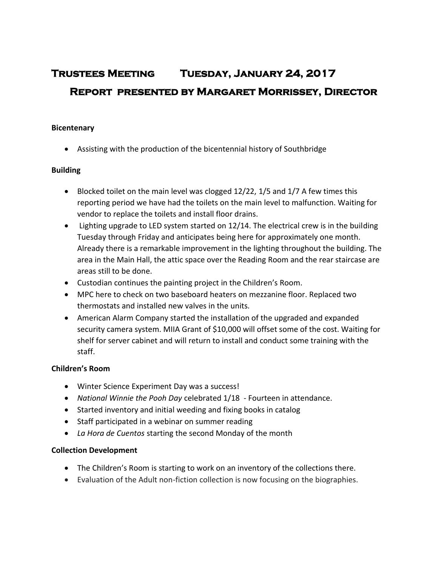# **Trustees Meeting Tuesday, January 24, 2017 Report presented by Margaret Morrissey, Director**

## **Bicentenary**

Assisting with the production of the bicentennial history of Southbridge

## **Building**

- Blocked toilet on the main level was clogged 12/22, 1/5 and 1/7 A few times this reporting period we have had the toilets on the main level to malfunction. Waiting for vendor to replace the toilets and install floor drains.
- Lighting upgrade to LED system started on 12/14. The electrical crew is in the building Tuesday through Friday and anticipates being here for approximately one month. Already there is a remarkable improvement in the lighting throughout the building. The area in the Main Hall, the attic space over the Reading Room and the rear staircase are areas still to be done.
- Custodian continues the painting project in the Children's Room.
- MPC here to check on two baseboard heaters on mezzanine floor. Replaced two thermostats and installed new valves in the units.
- American Alarm Company started the installation of the upgraded and expanded security camera system. MIIA Grant of \$10,000 will offset some of the cost. Waiting for shelf for server cabinet and will return to install and conduct some training with the staff.

# **Children's Room**

- Winter Science Experiment Day was a success!
- *National Winnie the Pooh Day* celebrated 1/18 Fourteen in attendance.
- Started inventory and initial weeding and fixing books in catalog
- Staff participated in a webinar on summer reading
- *La Hora de Cuentos* starting the second Monday of the month

# **Collection Development**

- The Children's Room is starting to work on an inventory of the collections there.
- Evaluation of the Adult non-fiction collection is now focusing on the biographies.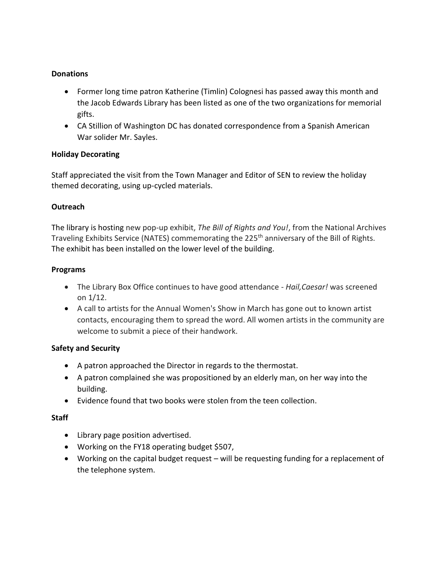## **Donations**

- Former long time patron Katherine (Timlin) Colognesi has passed away this month and the Jacob Edwards Library has been listed as one of the two organizations for memorial gifts.
- CA Stillion of Washington DC has donated correspondence from a Spanish American War solider Mr. Sayles.

## **Holiday Decorating**

Staff appreciated the visit from the Town Manager and Editor of SEN to review the holiday themed decorating, using up-cycled materials.

# **Outreach**

The library is hosting new pop-up exhibit, *The Bill of Rights and You!*, from the National Archives Traveling Exhibits Service (NATES) commemorating the 225<sup>th</sup> anniversary of the Bill of Rights. The exhibit has been installed on the lower level of the building.

#### **Programs**

- The Library Box Office continues to have good attendance *Hail,Caesar!* was screened on 1/12.
- A call to artists for the Annual Women's Show in March has gone out to known artist contacts, encouraging them to spread the word. All women artists in the community are welcome to submit a piece of their handwork.

#### **Safety and Security**

- A patron approached the Director in regards to the thermostat.
- A patron complained she was propositioned by an elderly man, on her way into the building.
- Evidence found that two books were stolen from the teen collection.

# **Staff**

- Library page position advertised.
- Working on the FY18 operating budget \$507,
- Working on the capital budget request will be requesting funding for a replacement of the telephone system.